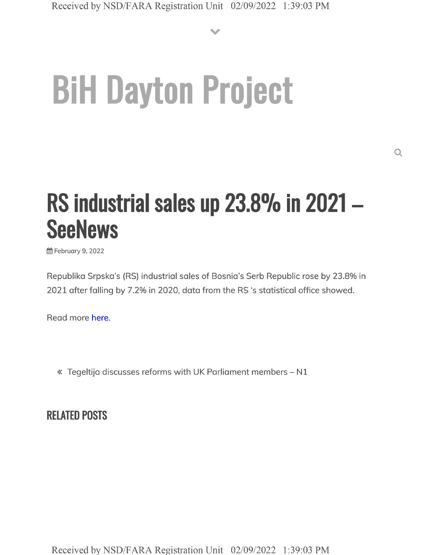**V**

## **BiH Dayton Project**

## **RS industrial sales up 23.8% in <sup>2021</sup> - SeeNews**

**曲 February 9, 2022** 

Republika Srpska's (RS) industrial sales of Bosnia's Serb Republic rose by 23.8% in 2021 after falling by 7.2% in 2020, data from the RS 's statistical office showed.

Read more here.

« Tegeltija discusses reforms with UK Parliament members - N1

**RELATED POSTS**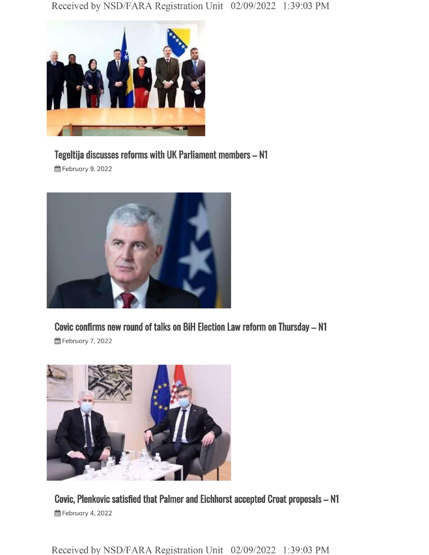

## **Tegeltija discusses reforms with UK Parliament members - N1**

**前 February 9, 2022** 



**曲 February 7, 2022** 



**Covic, Plenkovic satisfied that Palmer and Eichhorst accepted Croat proposals - N1 前 February 4, 2022** 

Received by NSD/FARA Registration Unit 02/09/2022 1:39:03 PM